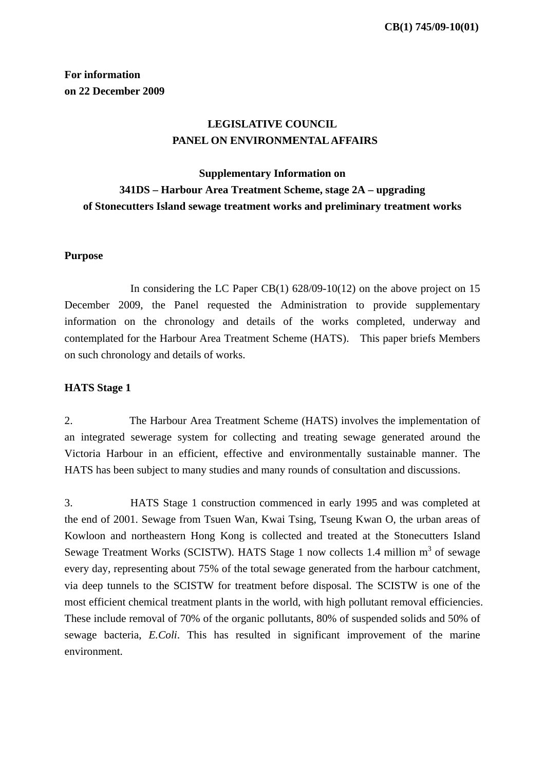## **For information on 22 December 2009**

# **LEGISLATIVE COUNCIL PANEL ON ENVIRONMENTAL AFFAIRS**

# **Supplementary Information on 341DS – Harbour Area Treatment Scheme, stage 2A – upgrading of Stonecutters Island sewage treatment works and preliminary treatment works**

### **Purpose**

In considering the LC Paper CB(1)  $628/09-10(12)$  on the above project on 15 December 2009, the Panel requested the Administration to provide supplementary information on the chronology and details of the works completed, underway and contemplated for the Harbour Area Treatment Scheme (HATS). This paper briefs Members on such chronology and details of works.

#### **HATS Stage 1**

2. The Harbour Area Treatment Scheme (HATS) involves the implementation of an integrated sewerage system for collecting and treating sewage generated around the Victoria Harbour in an efficient, effective and environmentally sustainable manner. The HATS has been subject to many studies and many rounds of consultation and discussions.

3. HATS Stage 1 construction commenced in early 1995 and was completed at the end of 2001. Sewage from Tsuen Wan, Kwai Tsing, Tseung Kwan O, the urban areas of Kowloon and northeastern Hong Kong is collected and treated at the Stonecutters Island Sewage Treatment Works (SCISTW). HATS Stage 1 now collects 1.4 million m<sup>3</sup> of sewage every day, representing about 75% of the total sewage generated from the harbour catchment, via deep tunnels to the SCISTW for treatment before disposal. The SCISTW is one of the most efficient chemical treatment plants in the world, with high pollutant removal efficiencies. These include removal of 70% of the organic pollutants, 80% of suspended solids and 50% of sewage bacteria, *E.Coli*. This has resulted in significant improvement of the marine environment.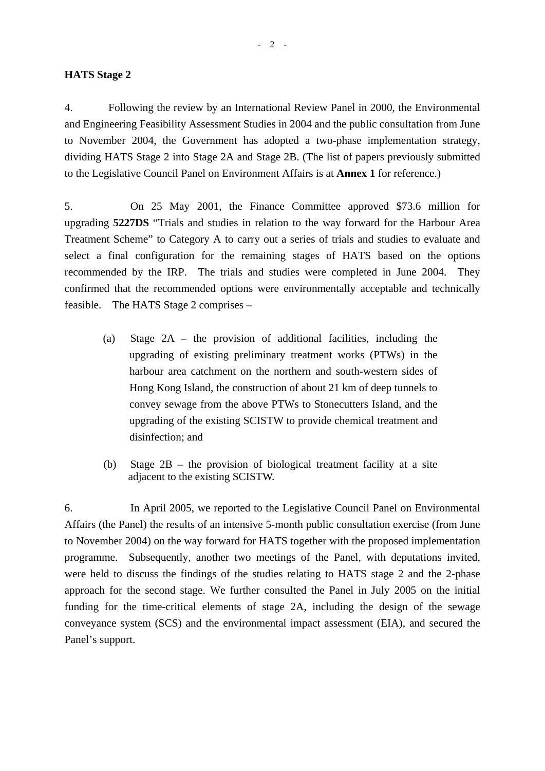#### **HATS Stage 2**

4. Following the review by an International Review Panel in 2000, the Environmental and Engineering Feasibility Assessment Studies in 2004 and the public consultation from June to November 2004, the Government has adopted a two-phase implementation strategy, dividing HATS Stage 2 into Stage 2A and Stage 2B. (The list of papers previously submitted to the Legislative Council Panel on Environment Affairs is at **Annex 1** for reference.)

5. On 25 May 2001, the Finance Committee approved \$73.6 million for upgrading **5227DS** "Trials and studies in relation to the way forward for the Harbour Area Treatment Scheme" to Category A to carry out a series of trials and studies to evaluate and select a final configuration for the remaining stages of HATS based on the options recommended by the IRP. The trials and studies were completed in June 2004. They confirmed that the recommended options were environmentally acceptable and technically feasible. The HATS Stage 2 comprises –

- (a) Stage 2A the provision of additional facilities, including the upgrading of existing preliminary treatment works (PTWs) in the harbour area catchment on the northern and south-western sides of Hong Kong Island, the construction of about 21 km of deep tunnels to convey sewage from the above PTWs to Stonecutters Island, and the upgrading of the existing SCISTW to provide chemical treatment and disinfection; and
- (b) Stage 2B the provision of biological treatment facility at a site adjacent to the existing SCISTW.

6. In April 2005, we reported to the Legislative Council Panel on Environmental Affairs (the Panel) the results of an intensive 5-month public consultation exercise (from June to November 2004) on the way forward for HATS together with the proposed implementation programme. Subsequently, another two meetings of the Panel, with deputations invited, were held to discuss the findings of the studies relating to HATS stage 2 and the 2-phase approach for the second stage. We further consulted the Panel in July 2005 on the initial funding for the time-critical elements of stage 2A, including the design of the sewage conveyance system (SCS) and the environmental impact assessment (EIA), and secured the Panel's support.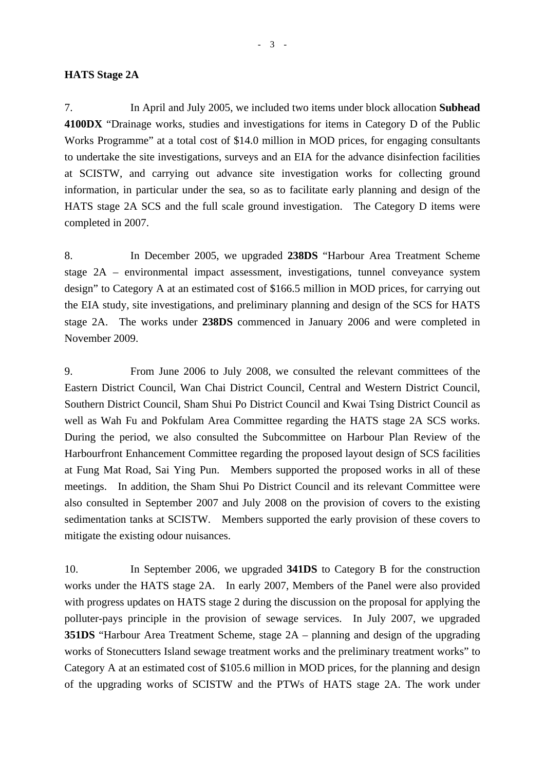#### **HATS Stage 2A**

7. In April and July 2005, we included two items under block allocation **Subhead 4100DX** "Drainage works, studies and investigations for items in Category D of the Public Works Programme" at a total cost of \$14.0 million in MOD prices, for engaging consultants to undertake the site investigations, surveys and an EIA for the advance disinfection facilities at SCISTW, and carrying out advance site investigation works for collecting ground information, in particular under the sea, so as to facilitate early planning and design of the HATS stage 2A SCS and the full scale ground investigation. The Category D items were completed in 2007.

8. In December 2005, we upgraded **238DS** "Harbour Area Treatment Scheme stage 2A – environmental impact assessment, investigations, tunnel conveyance system design" to Category A at an estimated cost of \$166.5 million in MOD prices, for carrying out the EIA study, site investigations, and preliminary planning and design of the SCS for HATS stage 2A. The works under **238DS** commenced in January 2006 and were completed in November 2009.

9. From June 2006 to July 2008, we consulted the relevant committees of the Eastern District Council, Wan Chai District Council, Central and Western District Council, Southern District Council, Sham Shui Po District Council and Kwai Tsing District Council as well as Wah Fu and Pokfulam Area Committee regarding the HATS stage 2A SCS works. During the period, we also consulted the Subcommittee on Harbour Plan Review of the Harbourfront Enhancement Committee regarding the proposed layout design of SCS facilities at Fung Mat Road, Sai Ying Pun. Members supported the proposed works in all of these meetings. In addition, the Sham Shui Po District Council and its relevant Committee were also consulted in September 2007 and July 2008 on the provision of covers to the existing sedimentation tanks at SCISTW. Members supported the early provision of these covers to mitigate the existing odour nuisances.

10. In September 2006, we upgraded **341DS** to Category B for the construction works under the HATS stage 2A. In early 2007, Members of the Panel were also provided with progress updates on HATS stage 2 during the discussion on the proposal for applying the polluter-pays principle in the provision of sewage services. In July 2007, we upgraded **351DS** "Harbour Area Treatment Scheme, stage 2A – planning and design of the upgrading works of Stonecutters Island sewage treatment works and the preliminary treatment works" to Category A at an estimated cost of \$105.6 million in MOD prices, for the planning and design of the upgrading works of SCISTW and the PTWs of HATS stage 2A. The work under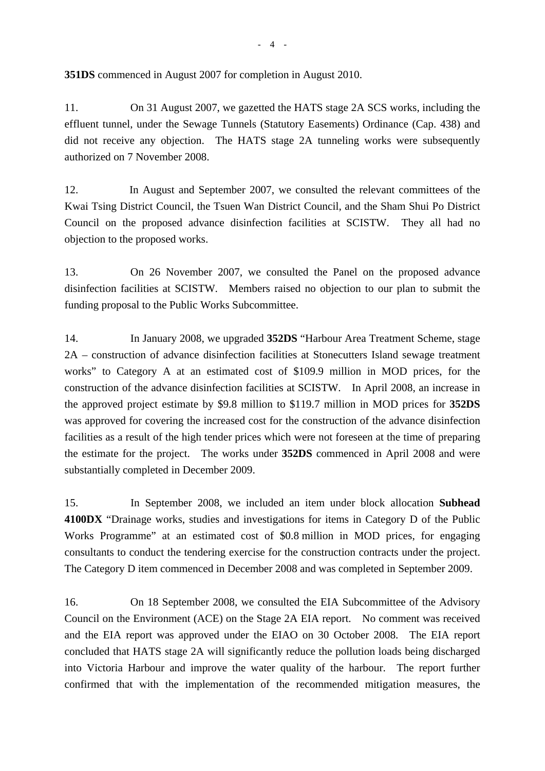**351DS** commenced in August 2007 for completion in August 2010.

11. On 31 August 2007, we gazetted the HATS stage 2A SCS works, including the effluent tunnel, under the Sewage Tunnels (Statutory Easements) Ordinance (Cap. 438) and did not receive any objection. The HATS stage 2A tunneling works were subsequently authorized on 7 November 2008.

12. In August and September 2007, we consulted the relevant committees of the Kwai Tsing District Council, the Tsuen Wan District Council, and the Sham Shui Po District Council on the proposed advance disinfection facilities at SCISTW. They all had no objection to the proposed works.

13. On 26 November 2007, we consulted the Panel on the proposed advance disinfection facilities at SCISTW. Members raised no objection to our plan to submit the funding proposal to the Public Works Subcommittee.

14. In January 2008, we upgraded **352DS** "Harbour Area Treatment Scheme, stage 2A – construction of advance disinfection facilities at Stonecutters Island sewage treatment works" to Category A at an estimated cost of \$109.9 million in MOD prices, for the construction of the advance disinfection facilities at SCISTW. In April 2008, an increase in the approved project estimate by \$9.8 million to \$119.7 million in MOD prices for **352DS** was approved for covering the increased cost for the construction of the advance disinfection facilities as a result of the high tender prices which were not foreseen at the time of preparing the estimate for the project. The works under **352DS** commenced in April 2008 and were substantially completed in December 2009.

15. In September 2008, we included an item under block allocation **Subhead 4100DX** "Drainage works, studies and investigations for items in Category D of the Public Works Programme" at an estimated cost of \$0.8 million in MOD prices, for engaging consultants to conduct the tendering exercise for the construction contracts under the project. The Category D item commenced in December 2008 and was completed in September 2009.

16. On 18 September 2008, we consulted the EIA Subcommittee of the Advisory Council on the Environment (ACE) on the Stage 2A EIA report. No comment was received and the EIA report was approved under the EIAO on 30 October 2008. The EIA report concluded that HATS stage 2A will significantly reduce the pollution loads being discharged into Victoria Harbour and improve the water quality of the harbour. The report further confirmed that with the implementation of the recommended mitigation measures, the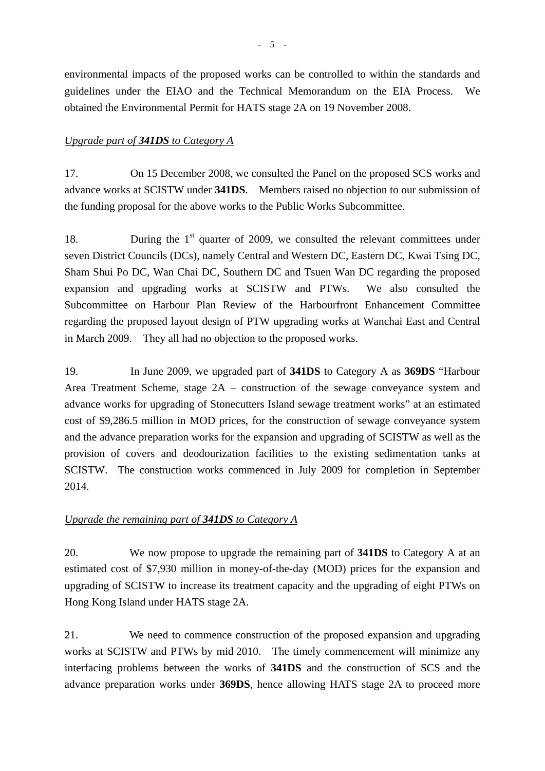environmental impacts of the proposed works can be controlled to within the standards and guidelines under the EIAO and the Technical Memorandum on the EIA Process. We obtained the Environmental Permit for HATS stage 2A on 19 November 2008.

### *Upgrade part of 341DS to Category A*

17. On 15 December 2008, we consulted the Panel on the proposed SCS works and advance works at SCISTW under **341DS**. Members raised no objection to our submission of the funding proposal for the above works to the Public Works Subcommittee.

18. During the  $1<sup>st</sup>$  quarter of 2009, we consulted the relevant committees under seven District Councils (DCs), namely Central and Western DC, Eastern DC, Kwai Tsing DC, Sham Shui Po DC, Wan Chai DC, Southern DC and Tsuen Wan DC regarding the proposed expansion and upgrading works at SCISTW and PTWs. We also consulted the Subcommittee on Harbour Plan Review of the Harbourfront Enhancement Committee regarding the proposed layout design of PTW upgrading works at Wanchai East and Central in March 2009. They all had no objection to the proposed works.

19. In June 2009, we upgraded part of **341DS** to Category A as **369DS** "Harbour Area Treatment Scheme, stage 2A – construction of the sewage conveyance system and advance works for upgrading of Stonecutters Island sewage treatment works" at an estimated cost of \$9,286.5 million in MOD prices, for the construction of sewage conveyance system and the advance preparation works for the expansion and upgrading of SCISTW as well as the provision of covers and deodourization facilities to the existing sedimentation tanks at SCISTW. The construction works commenced in July 2009 for completion in September 2014.

### *Upgrade the remaining part of 341DS to Category A*

20. We now propose to upgrade the remaining part of **341DS** to Category A at an estimated cost of \$7,930 million in money-of-the-day (MOD) prices for the expansion and upgrading of SCISTW to increase its treatment capacity and the upgrading of eight PTWs on Hong Kong Island under HATS stage 2A.

21. We need to commence construction of the proposed expansion and upgrading works at SCISTW and PTWs by mid 2010. The timely commencement will minimize any interfacing problems between the works of **341DS** and the construction of SCS and the advance preparation works under **369DS**, hence allowing HATS stage 2A to proceed more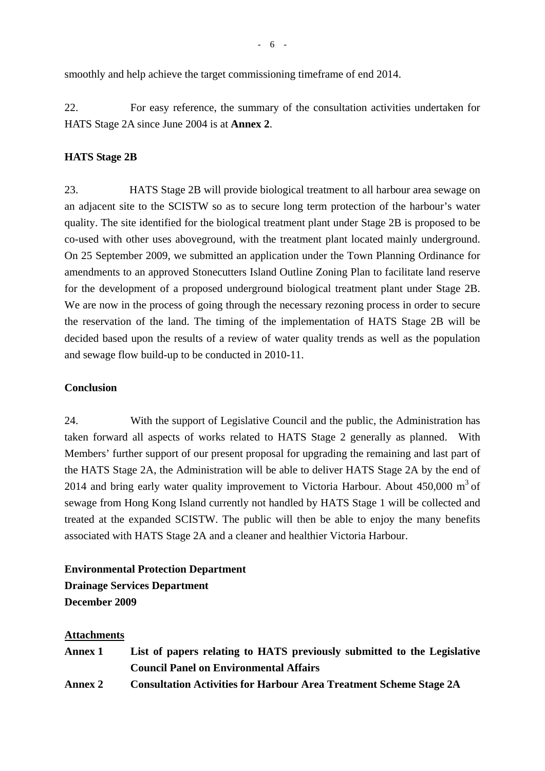smoothly and help achieve the target commissioning timeframe of end 2014.

22. For easy reference, the summary of the consultation activities undertaken for HATS Stage 2A since June 2004 is at **Annex 2**.

### **HATS Stage 2B**

23. HATS Stage 2B will provide biological treatment to all harbour area sewage on an adjacent site to the SCISTW so as to secure long term protection of the harbour's water quality. The site identified for the biological treatment plant under Stage 2B is proposed to be co-used with other uses aboveground, with the treatment plant located mainly underground. On 25 September 2009, we submitted an application under the Town Planning Ordinance for amendments to an approved Stonecutters Island Outline Zoning Plan to facilitate land reserve for the development of a proposed underground biological treatment plant under Stage 2B. We are now in the process of going through the necessary rezoning process in order to secure the reservation of the land. The timing of the implementation of HATS Stage 2B will be decided based upon the results of a review of water quality trends as well as the population and sewage flow build-up to be conducted in 2010-11.

#### **Conclusion**

24. With the support of Legislative Council and the public, the Administration has taken forward all aspects of works related to HATS Stage 2 generally as planned. With Members' further support of our present proposal for upgrading the remaining and last part of the HATS Stage 2A, the Administration will be able to deliver HATS Stage 2A by the end of 2014 and bring early water quality improvement to Victoria Harbour. About  $450,000 \text{ m}^3$  of sewage from Hong Kong Island currently not handled by HATS Stage 1 will be collected and treated at the expanded SCISTW. The public will then be able to enjoy the many benefits associated with HATS Stage 2A and a cleaner and healthier Victoria Harbour.

## **Environmental Protection Department Drainage Services Department December 2009**

#### **Attachments**

| <b>Annex 1</b> | List of papers relating to HATS previously submitted to the Legislative   |
|----------------|---------------------------------------------------------------------------|
|                | <b>Council Panel on Environmental Affairs</b>                             |
| <b>Annex 2</b> | <b>Consultation Activities for Harbour Area Treatment Scheme Stage 2A</b> |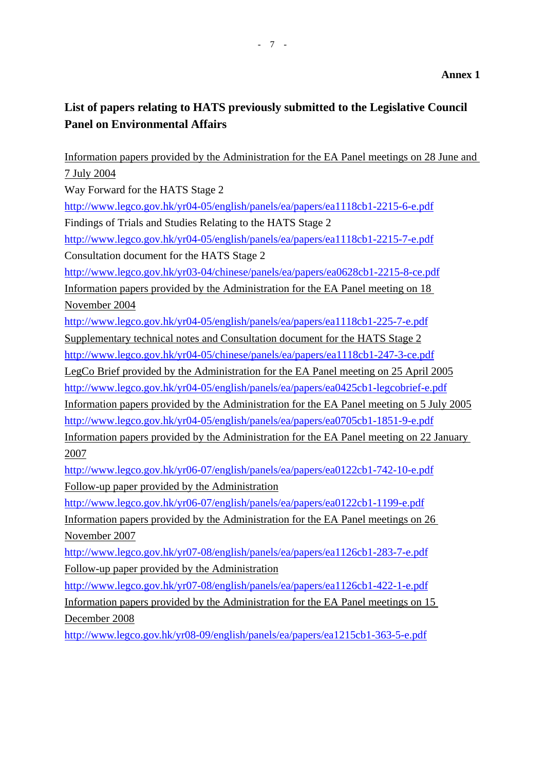# **List of papers relating to HATS previously submitted to the Legislative Council Panel on Environmental Affairs**

Information papers provided by the Administration for the EA Panel meetings on 28 June and 7 July 2004 Way Forward for the HATS Stage 2 http://www.legco.gov.hk/yr04-05/english/panels/ea/papers/ea1118cb1-2215-6-e.pdf Findings of Trials and Studies Relating to the HATS Stage 2 http://www.legco.gov.hk/yr04-05/english/panels/ea/papers/ea1118cb1-2215-7-e.pdf Consultation document for the HATS Stage 2 http://www.legco.gov.hk/yr03-04/chinese/panels/ea/papers/ea0628cb1-2215-8-ce.pdf Information papers provided by the Administration for the EA Panel meeting on 18 November 2004 http://www.legco.gov.hk/yr04-05/english/panels/ea/papers/ea1118cb1-225-7-e.pdf Supplementary technical notes and Consultation document for the HATS Stage 2 http://www.legco.gov.hk/yr04-05/chinese/panels/ea/papers/ea1118cb1-247-3-ce.pdf LegCo Brief provided by the Administration for the EA Panel meeting on 25 April 2005 http://www.legco.gov.hk/yr04-05/english/panels/ea/papers/ea0425cb1-legcobrief-e.pdf Information papers provided by the Administration for the EA Panel meeting on 5 July 2005 http://www.legco.gov.hk/yr04-05/english/panels/ea/papers/ea0705cb1-1851-9-e.pdf Information papers provided by the Administration for the EA Panel meeting on 22 January 2007 http://www.legco.gov.hk/yr06-07/english/panels/ea/papers/ea0122cb1-742-10-e.pdf Follow-up paper provided by the Administration http://www.legco.gov.hk/yr06-07/english/panels/ea/papers/ea0122cb1-1199-e.pdf Information papers provided by the Administration for the EA Panel meetings on 26 November 2007 http://www.legco.gov.hk/yr07-08/english/panels/ea/papers/ea1126cb1-283-7-e.pdf Follow-up paper provided by the Administration http://www.legco.gov.hk/yr07-08/english/panels/ea/papers/ea1126cb1-422-1-e.pdf Information papers provided by the Administration for the EA Panel meetings on 15

December 2008

http://www.legco.gov.hk/yr08-09/english/panels/ea/papers/ea1215cb1-363-5-e.pdf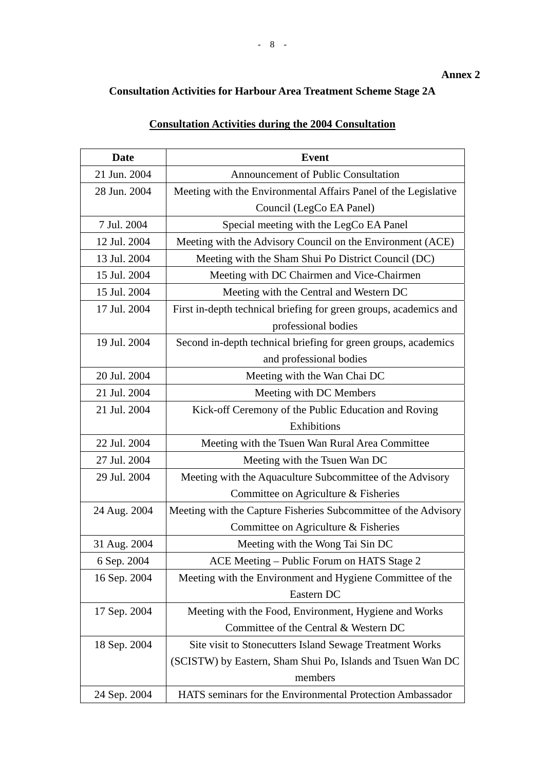# **Consultation Activities for Harbour Area Treatment Scheme Stage 2A**

## **Consultation Activities during the 2004 Consultation**

| Date         | <b>Event</b>                                                      |
|--------------|-------------------------------------------------------------------|
| 21 Jun. 2004 | <b>Announcement of Public Consultation</b>                        |
| 28 Jun. 2004 | Meeting with the Environmental Affairs Panel of the Legislative   |
|              | Council (LegCo EA Panel)                                          |
| 7 Jul. 2004  | Special meeting with the LegCo EA Panel                           |
| 12 Jul. 2004 | Meeting with the Advisory Council on the Environment (ACE)        |
| 13 Jul. 2004 | Meeting with the Sham Shui Po District Council (DC)               |
| 15 Jul. 2004 | Meeting with DC Chairmen and Vice-Chairmen                        |
| 15 Jul. 2004 | Meeting with the Central and Western DC                           |
| 17 Jul. 2004 | First in-depth technical briefing for green groups, academics and |
|              | professional bodies                                               |
| 19 Jul. 2004 | Second in-depth technical briefing for green groups, academics    |
|              | and professional bodies                                           |
| 20 Jul. 2004 | Meeting with the Wan Chai DC                                      |
| 21 Jul. 2004 | Meeting with DC Members                                           |
| 21 Jul. 2004 | Kick-off Ceremony of the Public Education and Roving              |
|              | Exhibitions                                                       |
| 22 Jul. 2004 | Meeting with the Tsuen Wan Rural Area Committee                   |
| 27 Jul. 2004 | Meeting with the Tsuen Wan DC                                     |
| 29 Jul. 2004 | Meeting with the Aquaculture Subcommittee of the Advisory         |
|              | Committee on Agriculture & Fisheries                              |
| 24 Aug. 2004 | Meeting with the Capture Fisheries Subcommittee of the Advisory   |
|              | Committee on Agriculture & Fisheries                              |
| 31 Aug. 2004 | Meeting with the Wong Tai Sin DC                                  |
| 6 Sep. 2004  | ACE Meeting - Public Forum on HATS Stage 2                        |
| 16 Sep. 2004 | Meeting with the Environment and Hygiene Committee of the         |
|              | Eastern DC                                                        |
| 17 Sep. 2004 | Meeting with the Food, Environment, Hygiene and Works             |
|              | Committee of the Central & Western DC                             |
| 18 Sep. 2004 | Site visit to Stonecutters Island Sewage Treatment Works          |
|              | (SCISTW) by Eastern, Sham Shui Po, Islands and Tsuen Wan DC       |
|              | members                                                           |
| 24 Sep. 2004 | HATS seminars for the Environmental Protection Ambassador         |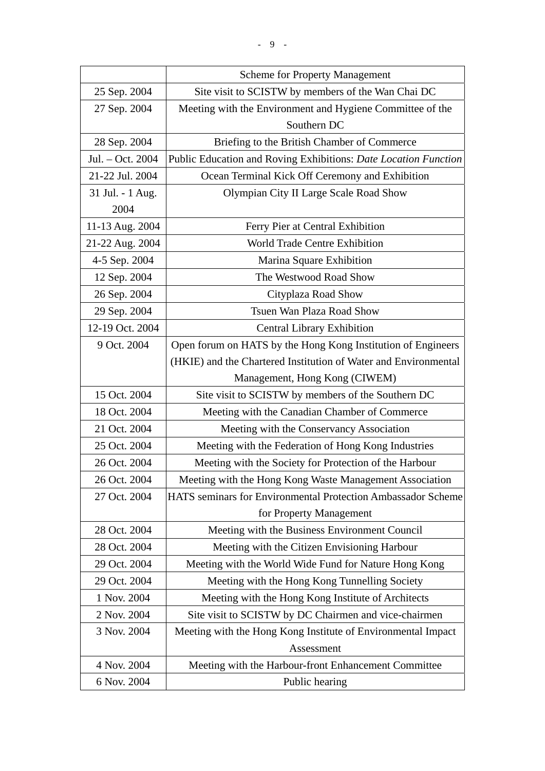|                  | <b>Scheme for Property Management</b>                           |
|------------------|-----------------------------------------------------------------|
| 25 Sep. 2004     | Site visit to SCISTW by members of the Wan Chai DC              |
| 27 Sep. 2004     | Meeting with the Environment and Hygiene Committee of the       |
|                  | Southern DC                                                     |
| 28 Sep. 2004     | Briefing to the British Chamber of Commerce                     |
| Jul. - Oct. 2004 | Public Education and Roving Exhibitions: Date Location Function |
| 21-22 Jul. 2004  | Ocean Terminal Kick Off Ceremony and Exhibition                 |
| 31 Jul. - 1 Aug. | Olympian City II Large Scale Road Show                          |
| 2004             |                                                                 |
| 11-13 Aug. 2004  | Ferry Pier at Central Exhibition                                |
| 21-22 Aug. 2004  | World Trade Centre Exhibition                                   |
| 4-5 Sep. 2004    | Marina Square Exhibition                                        |
| 12 Sep. 2004     | The Westwood Road Show                                          |
| 26 Sep. 2004     | Cityplaza Road Show                                             |
| 29 Sep. 2004     | Tsuen Wan Plaza Road Show                                       |
| 12-19 Oct. 2004  | <b>Central Library Exhibition</b>                               |
| 9 Oct. 2004      | Open forum on HATS by the Hong Kong Institution of Engineers    |
|                  | (HKIE) and the Chartered Institution of Water and Environmental |
|                  | Management, Hong Kong (CIWEM)                                   |
| 15 Oct. 2004     | Site visit to SCISTW by members of the Southern DC              |
| 18 Oct. 2004     | Meeting with the Canadian Chamber of Commerce                   |
| 21 Oct. 2004     | Meeting with the Conservancy Association                        |
| 25 Oct. 2004     | Meeting with the Federation of Hong Kong Industries             |
| 26 Oct. 2004     | Meeting with the Society for Protection of the Harbour          |
| 26 Oct. 2004     | Meeting with the Hong Kong Waste Management Association         |
| 27 Oct. 2004     | HATS seminars for Environmental Protection Ambassador Scheme    |
|                  | for Property Management                                         |
| 28 Oct. 2004     | Meeting with the Business Environment Council                   |
| 28 Oct. 2004     | Meeting with the Citizen Envisioning Harbour                    |
| 29 Oct. 2004     | Meeting with the World Wide Fund for Nature Hong Kong           |
| 29 Oct. 2004     | Meeting with the Hong Kong Tunnelling Society                   |
| 1 Nov. 2004      | Meeting with the Hong Kong Institute of Architects              |
| 2 Nov. 2004      | Site visit to SCISTW by DC Chairmen and vice-chairmen           |
| 3 Nov. 2004      | Meeting with the Hong Kong Institute of Environmental Impact    |
|                  | Assessment                                                      |
| 4 Nov. 2004      | Meeting with the Harbour-front Enhancement Committee            |
| 6 Nov. 2004      | Public hearing                                                  |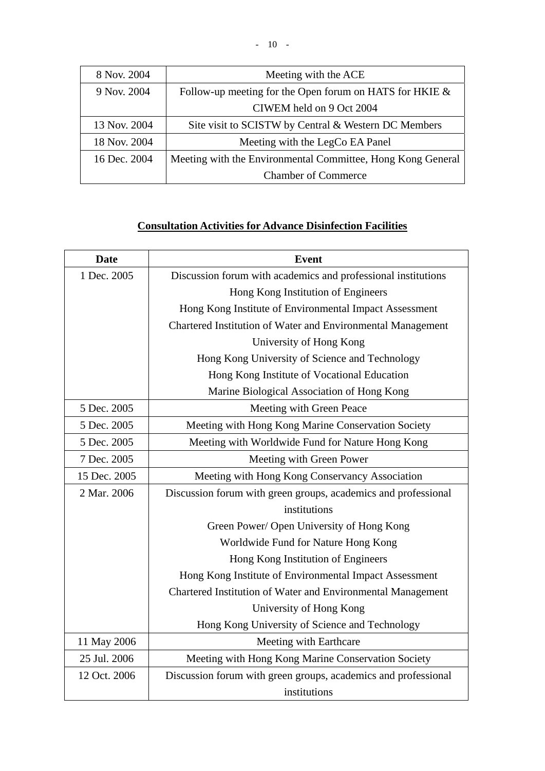| 8 Nov. 2004  | Meeting with the ACE                                        |
|--------------|-------------------------------------------------------------|
| 9 Nov. 2004  | Follow-up meeting for the Open forum on HATS for HKIE $\&$  |
|              | CIWEM held on 9 Oct 2004                                    |
| 13 Nov. 2004 | Site visit to SCISTW by Central & Western DC Members        |
| 18 Nov. 2004 | Meeting with the LegCo EA Panel                             |
| 16 Dec. 2004 | Meeting with the Environmental Committee, Hong Kong General |
|              | <b>Chamber of Commerce</b>                                  |

## **Consultation Activities for Advance Disinfection Facilities**

| <b>Date</b>  | <b>Event</b>                                                   |
|--------------|----------------------------------------------------------------|
| 1 Dec. 2005  | Discussion forum with academics and professional institutions  |
|              | Hong Kong Institution of Engineers                             |
|              | Hong Kong Institute of Environmental Impact Assessment         |
|              | Chartered Institution of Water and Environmental Management    |
|              | University of Hong Kong                                        |
|              | Hong Kong University of Science and Technology                 |
|              | Hong Kong Institute of Vocational Education                    |
|              | Marine Biological Association of Hong Kong                     |
| 5 Dec. 2005  | Meeting with Green Peace                                       |
| 5 Dec. 2005  | Meeting with Hong Kong Marine Conservation Society             |
| 5 Dec. 2005  | Meeting with Worldwide Fund for Nature Hong Kong               |
| 7 Dec. 2005  | Meeting with Green Power                                       |
| 15 Dec. 2005 | Meeting with Hong Kong Conservancy Association                 |
| 2 Mar. 2006  | Discussion forum with green groups, academics and professional |
|              | institutions                                                   |
|              | Green Power/ Open University of Hong Kong                      |
|              | Worldwide Fund for Nature Hong Kong                            |
|              | Hong Kong Institution of Engineers                             |
|              | Hong Kong Institute of Environmental Impact Assessment         |
|              | Chartered Institution of Water and Environmental Management    |
|              | University of Hong Kong                                        |
|              | Hong Kong University of Science and Technology                 |
| 11 May 2006  | Meeting with Earthcare                                         |
| 25 Jul. 2006 | Meeting with Hong Kong Marine Conservation Society             |
| 12 Oct. 2006 | Discussion forum with green groups, academics and professional |
|              | institutions                                                   |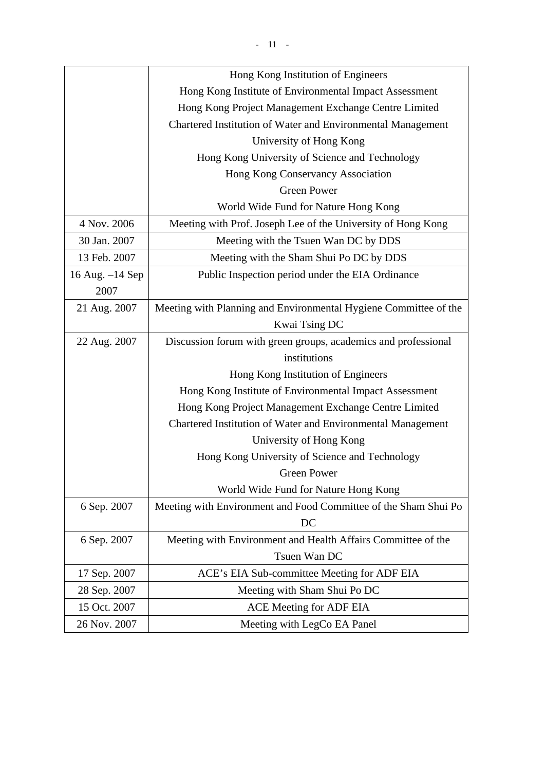|                   | Hong Kong Institution of Engineers                               |
|-------------------|------------------------------------------------------------------|
|                   | Hong Kong Institute of Environmental Impact Assessment           |
|                   | Hong Kong Project Management Exchange Centre Limited             |
|                   | Chartered Institution of Water and Environmental Management      |
|                   | University of Hong Kong                                          |
|                   | Hong Kong University of Science and Technology                   |
|                   | Hong Kong Conservancy Association                                |
|                   | <b>Green Power</b>                                               |
|                   | World Wide Fund for Nature Hong Kong                             |
| 4 Nov. 2006       | Meeting with Prof. Joseph Lee of the University of Hong Kong     |
| 30 Jan. 2007      | Meeting with the Tsuen Wan DC by DDS                             |
| 13 Feb. 2007      | Meeting with the Sham Shui Po DC by DDS                          |
| 16 Aug. $-14$ Sep | Public Inspection period under the EIA Ordinance                 |
| 2007              |                                                                  |
| 21 Aug. 2007      | Meeting with Planning and Environmental Hygiene Committee of the |
|                   | Kwai Tsing DC                                                    |
| 22 Aug. 2007      | Discussion forum with green groups, academics and professional   |
|                   | institutions                                                     |
|                   | Hong Kong Institution of Engineers                               |
|                   | Hong Kong Institute of Environmental Impact Assessment           |
|                   | Hong Kong Project Management Exchange Centre Limited             |
|                   | Chartered Institution of Water and Environmental Management      |
|                   | University of Hong Kong                                          |
|                   | Hong Kong University of Science and Technology                   |
|                   | Green Power                                                      |
|                   | World Wide Fund for Nature Hong Kong                             |
| 6 Sep. 2007       | Meeting with Environment and Food Committee of the Sham Shui Po  |
|                   | DC                                                               |
| 6 Sep. 2007       | Meeting with Environment and Health Affairs Committee of the     |
|                   | Tsuen Wan DC                                                     |
| 17 Sep. 2007      | ACE's EIA Sub-committee Meeting for ADF EIA                      |
| 28 Sep. 2007      | Meeting with Sham Shui Po DC                                     |
| 15 Oct. 2007      | <b>ACE Meeting for ADF EIA</b>                                   |
| 26 Nov. 2007      | Meeting with LegCo EA Panel                                      |
|                   |                                                                  |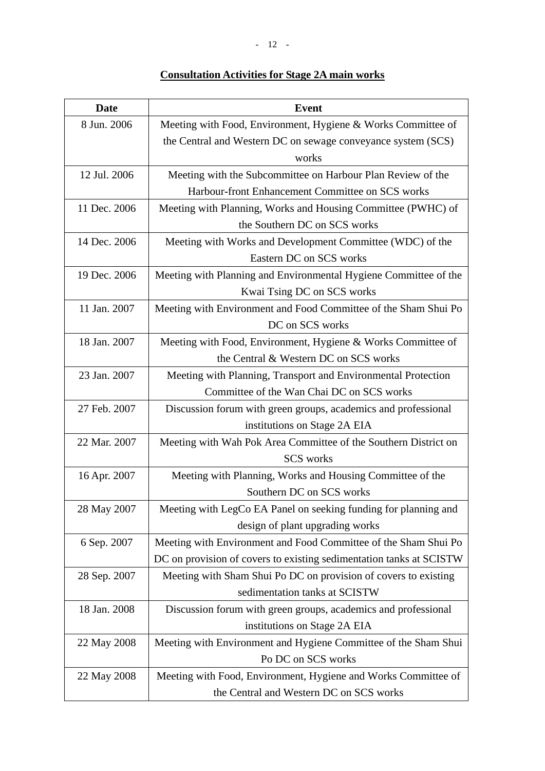## **Consultation Activities for Stage 2A main works**

| <b>Date</b>  | <b>Event</b>                                                        |
|--------------|---------------------------------------------------------------------|
| 8 Jun. 2006  | Meeting with Food, Environment, Hygiene & Works Committee of        |
|              | the Central and Western DC on sewage conveyance system (SCS)        |
|              | works                                                               |
| 12 Jul. 2006 | Meeting with the Subcommittee on Harbour Plan Review of the         |
|              | Harbour-front Enhancement Committee on SCS works                    |
| 11 Dec. 2006 | Meeting with Planning, Works and Housing Committee (PWHC) of        |
|              | the Southern DC on SCS works                                        |
| 14 Dec. 2006 | Meeting with Works and Development Committee (WDC) of the           |
|              | Eastern DC on SCS works                                             |
| 19 Dec. 2006 | Meeting with Planning and Environmental Hygiene Committee of the    |
|              | Kwai Tsing DC on SCS works                                          |
| 11 Jan. 2007 | Meeting with Environment and Food Committee of the Sham Shui Po     |
|              | DC on SCS works                                                     |
| 18 Jan. 2007 | Meeting with Food, Environment, Hygiene & Works Committee of        |
|              | the Central & Western DC on SCS works                               |
| 23 Jan. 2007 | Meeting with Planning, Transport and Environmental Protection       |
|              | Committee of the Wan Chai DC on SCS works                           |
| 27 Feb. 2007 | Discussion forum with green groups, academics and professional      |
|              | institutions on Stage 2A EIA                                        |
| 22 Mar. 2007 | Meeting with Wah Pok Area Committee of the Southern District on     |
|              | <b>SCS</b> works                                                    |
| 16 Apr. 2007 | Meeting with Planning, Works and Housing Committee of the           |
|              | Southern DC on SCS works                                            |
| 28 May 2007  | Meeting with LegCo EA Panel on seeking funding for planning and     |
|              | design of plant upgrading works                                     |
| 6 Sep. 2007  | Meeting with Environment and Food Committee of the Sham Shui Po     |
|              | DC on provision of covers to existing sedimentation tanks at SCISTW |
| 28 Sep. 2007 | Meeting with Sham Shui Po DC on provision of covers to existing     |
|              | sedimentation tanks at SCISTW                                       |
| 18 Jan. 2008 | Discussion forum with green groups, academics and professional      |
|              | institutions on Stage 2A EIA                                        |
| 22 May 2008  | Meeting with Environment and Hygiene Committee of the Sham Shui     |
|              | Po DC on SCS works                                                  |
| 22 May 2008  | Meeting with Food, Environment, Hygiene and Works Committee of      |
|              | the Central and Western DC on SCS works                             |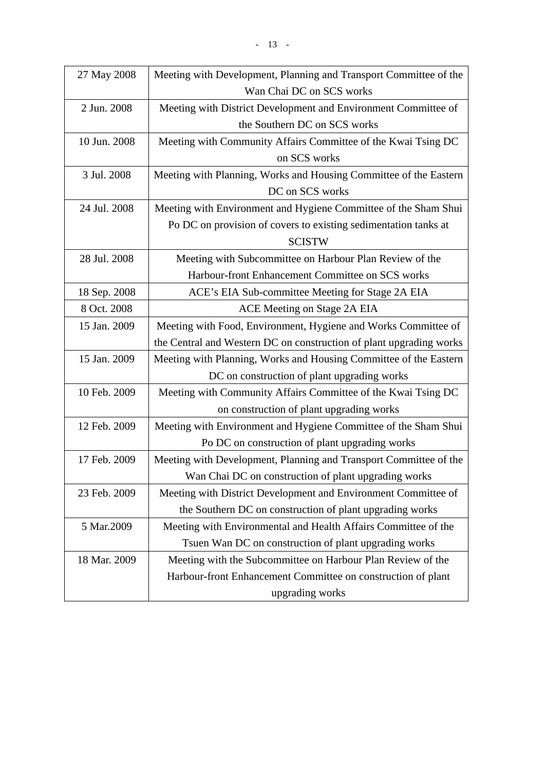| 27 May 2008  | Meeting with Development, Planning and Transport Committee of the   |
|--------------|---------------------------------------------------------------------|
|              | Wan Chai DC on SCS works                                            |
| 2 Jun. 2008  | Meeting with District Development and Environment Committee of      |
|              | the Southern DC on SCS works                                        |
| 10 Jun. 2008 | Meeting with Community Affairs Committee of the Kwai Tsing DC       |
|              | on SCS works                                                        |
| 3 Jul. 2008  | Meeting with Planning, Works and Housing Committee of the Eastern   |
|              | DC on SCS works                                                     |
| 24 Jul. 2008 | Meeting with Environment and Hygiene Committee of the Sham Shui     |
|              | Po DC on provision of covers to existing sedimentation tanks at     |
|              | <b>SCISTW</b>                                                       |
| 28 Jul. 2008 | Meeting with Subcommittee on Harbour Plan Review of the             |
|              | Harbour-front Enhancement Committee on SCS works                    |
| 18 Sep. 2008 | ACE's EIA Sub-committee Meeting for Stage 2A EIA                    |
| 8 Oct. 2008  | ACE Meeting on Stage 2A EIA                                         |
| 15 Jan. 2009 | Meeting with Food, Environment, Hygiene and Works Committee of      |
|              | the Central and Western DC on construction of plant upgrading works |
| 15 Jan. 2009 | Meeting with Planning, Works and Housing Committee of the Eastern   |
|              | DC on construction of plant upgrading works                         |
| 10 Feb. 2009 | Meeting with Community Affairs Committee of the Kwai Tsing DC       |
|              | on construction of plant upgrading works                            |
| 12 Feb. 2009 | Meeting with Environment and Hygiene Committee of the Sham Shui     |
|              | Po DC on construction of plant upgrading works                      |
| 17 Feb. 2009 | Meeting with Development, Planning and Transport Committee of the   |
|              | Wan Chai DC on construction of plant upgrading works                |
| 23 Feb. 2009 | Meeting with District Development and Environment Committee of      |
|              | the Southern DC on construction of plant upgrading works            |
| 5 Mar.2009   | Meeting with Environmental and Health Affairs Committee of the      |
|              | Tsuen Wan DC on construction of plant upgrading works               |
| 18 Mar. 2009 | Meeting with the Subcommittee on Harbour Plan Review of the         |
|              | Harbour-front Enhancement Committee on construction of plant        |
|              | upgrading works                                                     |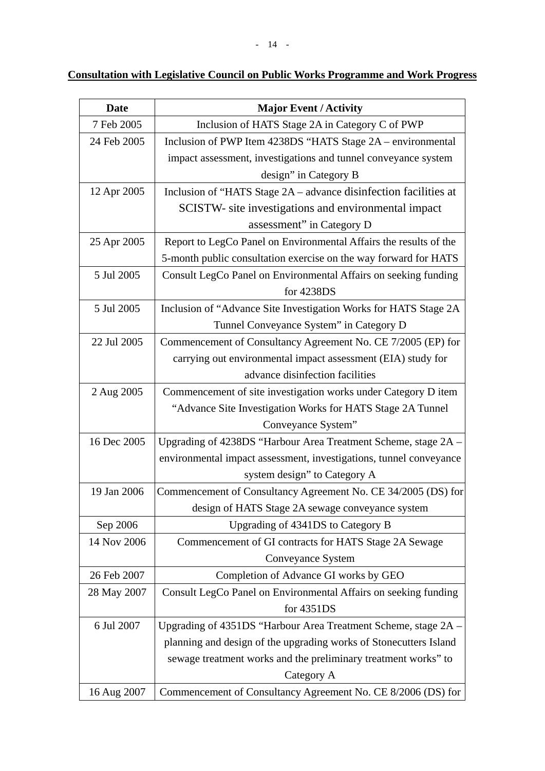| <b>Date</b> | <b>Major Event / Activity</b>                                      |
|-------------|--------------------------------------------------------------------|
| 7 Feb 2005  | Inclusion of HATS Stage 2A in Category C of PWP                    |
| 24 Feb 2005 | Inclusion of PWP Item 4238DS "HATS Stage 2A – environmental        |
|             | impact assessment, investigations and tunnel conveyance system     |
|             | design" in Category B                                              |
| 12 Apr 2005 | Inclusion of "HATS Stage 2A - advance disinfection facilities at   |
|             | SCISTW- site investigations and environmental impact               |
|             | assessment" in Category D                                          |
| 25 Apr 2005 | Report to LegCo Panel on Environmental Affairs the results of the  |
|             | 5-month public consultation exercise on the way forward for HATS   |
| 5 Jul 2005  | Consult LegCo Panel on Environmental Affairs on seeking funding    |
|             | for 4238DS                                                         |
| 5 Jul 2005  | Inclusion of "Advance Site Investigation Works for HATS Stage 2A   |
|             | Tunnel Conveyance System" in Category D                            |
| 22 Jul 2005 | Commencement of Consultancy Agreement No. CE 7/2005 (EP) for       |
|             | carrying out environmental impact assessment (EIA) study for       |
|             | advance disinfection facilities                                    |
| 2 Aug 2005  | Commencement of site investigation works under Category D item     |
|             | "Advance Site Investigation Works for HATS Stage 2A Tunnel         |
|             | Conveyance System"                                                 |
| 16 Dec 2005 | Upgrading of 4238DS "Harbour Area Treatment Scheme, stage 2A -     |
|             | environmental impact assessment, investigations, tunnel conveyance |
|             | system design" to Category A                                       |
| 19 Jan 2006 | Commencement of Consultancy Agreement No. CE 34/2005 (DS) for      |
|             | design of HATS Stage 2A sewage conveyance system                   |
| Sep 2006    | Upgrading of 4341DS to Category B                                  |
| 14 Nov 2006 | Commencement of GI contracts for HATS Stage 2A Sewage              |
|             | Conveyance System                                                  |
| 26 Feb 2007 | Completion of Advance GI works by GEO                              |
| 28 May 2007 | Consult LegCo Panel on Environmental Affairs on seeking funding    |
|             | for 4351DS                                                         |
| 6 Jul 2007  | Upgrading of 4351DS "Harbour Area Treatment Scheme, stage 2A -     |
|             | planning and design of the upgrading works of Stonecutters Island  |
|             | sewage treatment works and the preliminary treatment works" to     |
|             | Category A                                                         |
| 16 Aug 2007 | Commencement of Consultancy Agreement No. CE 8/2006 (DS) for       |

## **Consultation with Legislative Council on Public Works Programme and Work Progress**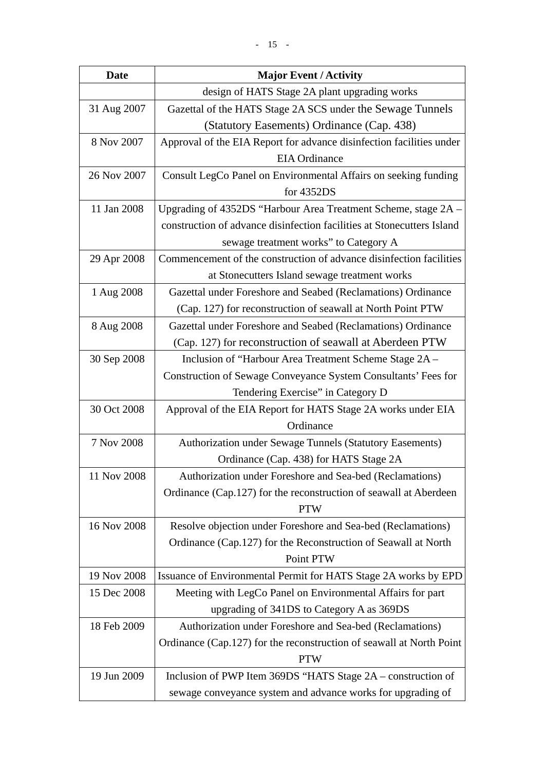| <b>Date</b> | <b>Major Event / Activity</b>                                          |
|-------------|------------------------------------------------------------------------|
|             | design of HATS Stage 2A plant upgrading works                          |
| 31 Aug 2007 | Gazettal of the HATS Stage 2A SCS under the Sewage Tunnels             |
|             | (Statutory Easements) Ordinance (Cap. 438)                             |
| 8 Nov 2007  | Approval of the EIA Report for advance disinfection facilities under   |
|             | <b>EIA</b> Ordinance                                                   |
| 26 Nov 2007 | Consult LegCo Panel on Environmental Affairs on seeking funding        |
|             | for 4352DS                                                             |
| 11 Jan 2008 | Upgrading of 4352DS "Harbour Area Treatment Scheme, stage 2A -         |
|             | construction of advance disinfection facilities at Stonecutters Island |
|             | sewage treatment works" to Category A                                  |
| 29 Apr 2008 | Commencement of the construction of advance disinfection facilities    |
|             | at Stonecutters Island sewage treatment works                          |
| 1 Aug 2008  | Gazettal under Foreshore and Seabed (Reclamations) Ordinance           |
|             | (Cap. 127) for reconstruction of seawall at North Point PTW            |
| 8 Aug 2008  | Gazettal under Foreshore and Seabed (Reclamations) Ordinance           |
|             | (Cap. 127) for reconstruction of seawall at Aberdeen PTW               |
| 30 Sep 2008 | Inclusion of "Harbour Area Treatment Scheme Stage 2A -                 |
|             | Construction of Sewage Conveyance System Consultants' Fees for         |
|             | Tendering Exercise" in Category D                                      |
| 30 Oct 2008 | Approval of the EIA Report for HATS Stage 2A works under EIA           |
|             | Ordinance                                                              |
| 7 Nov 2008  | <b>Authorization under Sewage Tunnels (Statutory Easements)</b>        |
|             | Ordinance (Cap. 438) for HATS Stage 2A                                 |
| 11 Nov 2008 | Authorization under Foreshore and Sea-bed (Reclamations)               |
|             | Ordinance (Cap.127) for the reconstruction of seawall at Aberdeen      |
|             | <b>PTW</b>                                                             |
| 16 Nov 2008 | Resolve objection under Foreshore and Sea-bed (Reclamations)           |
|             | Ordinance (Cap.127) for the Reconstruction of Seawall at North         |
|             | Point PTW                                                              |
| 19 Nov 2008 | Issuance of Environmental Permit for HATS Stage 2A works by EPD        |
| 15 Dec 2008 | Meeting with LegCo Panel on Environmental Affairs for part             |
|             | upgrading of 341DS to Category A as 369DS                              |
| 18 Feb 2009 | Authorization under Foreshore and Sea-bed (Reclamations)               |
|             | Ordinance (Cap.127) for the reconstruction of seawall at North Point   |
|             | <b>PTW</b>                                                             |
| 19 Jun 2009 | Inclusion of PWP Item 369DS "HATS Stage 2A – construction of           |
|             | sewage conveyance system and advance works for upgrading of            |